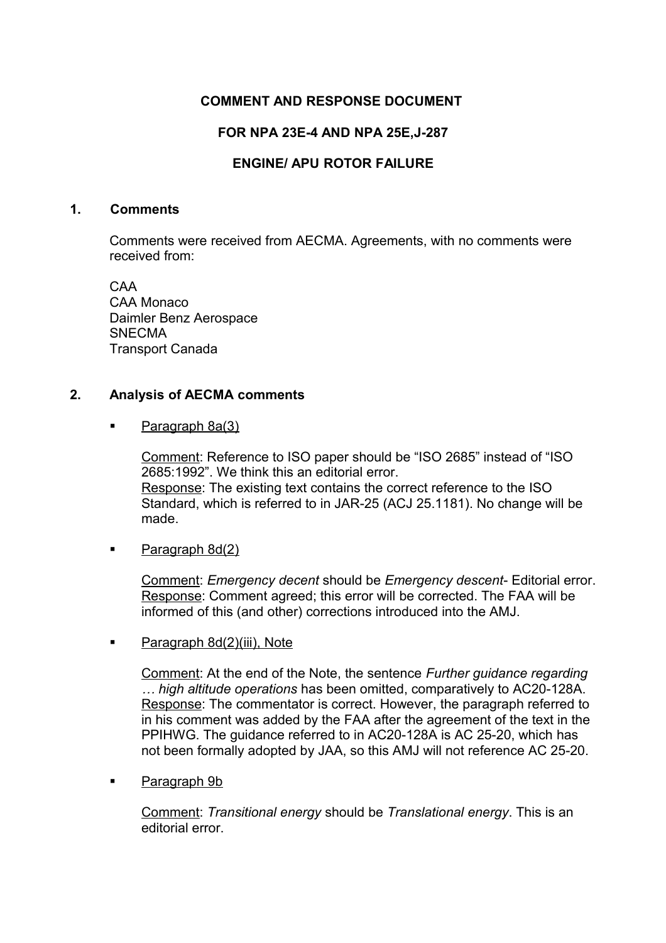# **COMMENT AND RESPONSE DOCUMENT**

# **FOR NPA 23E-4 AND NPA 25E,J-287**

# **ENGINE/ APU ROTOR FAILURE**

#### **1. Comments**

Comments were received from AECMA. Agreements, with no comments were received from:

CAA CAA Monaco Daimler Benz Aerospace **SNECMA** Transport Canada

### **2. Analysis of AECMA comments**

Paragraph 8a(3)

Comment: Reference to ISO paper should be "ISO 2685" instead of "ISO 2685:1992". We think this an editorial error. Response: The existing text contains the correct reference to the ISO Standard, which is referred to in JAR-25 (ACJ 25.1181). No change will be made.

• Paragraph 8d(2)

Comment: *Emergency decent* should be *Emergency descent*- Editorial error. Response: Comment agreed; this error will be corrected. The FAA will be informed of this (and other) corrections introduced into the AMJ.

**Paragraph 8d(2)(iii), Note** 

Comment: At the end of the Note, the sentence *Further guidance regarding … high altitude operations* has been omitted, comparatively to AC20-128A. Response: The commentator is correct. However, the paragraph referred to in his comment was added by the FAA after the agreement of the text in the PPIHWG. The guidance referred to in AC20-128A is AC 25-20, which has not been formally adopted by JAA, so this AMJ will not reference AC 25-20.

Paragraph 9b

Comment: *Transitional energy* should be *Translational energy*. This is an editorial error.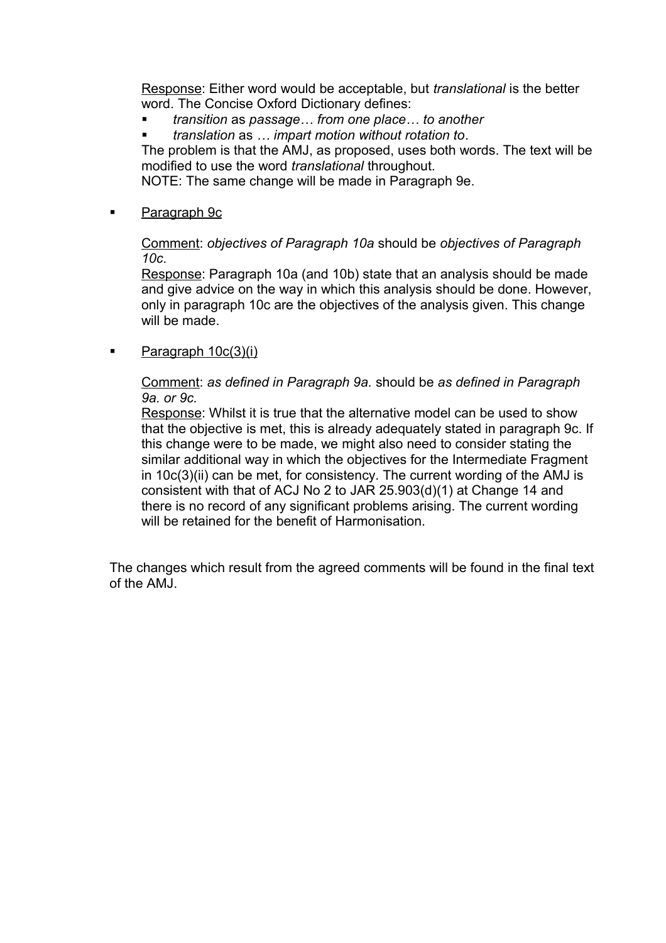Response: Either word would be acceptable, but *translational* is the better word. The Concise Oxford Dictionary defines:

*transition* as *passage… from one place… to another*

*translation* as *… impart motion without rotation to*.

The problem is that the AMJ, as proposed, uses both words. The text will be modified to use the word *translational* throughout.

NOTE: The same change will be made in Paragraph 9e.

**Paragraph 9c** 

Comment: *objectives of Paragraph 10a* should be *objectives of Paragraph 10c*.

Response: Paragraph 10a (and 10b) state that an analysis should be made and give advice on the way in which this analysis should be done. However, only in paragraph 10c are the objectives of the analysis given. This change will be made.

 $\blacksquare$  Paragraph  $10c(3)(i)$ 

Comment: *as defined in Paragraph 9a.* should be *as defined in Paragraph 9a. or 9c.*

Response: Whilst it is true that the alternative model can be used to show that the objective is met, this is already adequately stated in paragraph 9c. If this change were to be made, we might also need to consider stating the similar additional way in which the objectives for the Intermediate Fragment in 10c(3)(ii) can be met, for consistency. The current wording of the AMJ is consistent with that of ACJ No 2 to JAR 25.903(d)(1) at Change 14 and there is no record of any significant problems arising. The current wording will be retained for the benefit of Harmonisation.

The changes which result from the agreed comments will be found in the final text of the AMJ.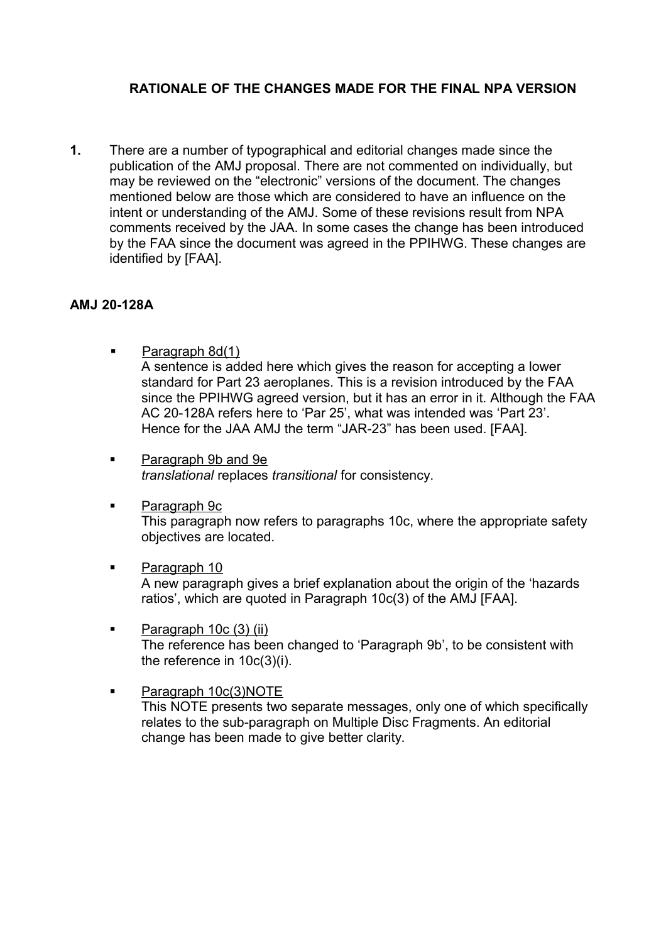# **RATIONALE OF THE CHANGES MADE FOR THE FINAL NPA VERSION**

**1.** There are a number of typographical and editorial changes made since the publication of the AMJ proposal. There are not commented on individually, but may be reviewed on the "electronic" versions of the document. The changes mentioned below are those which are considered to have an influence on the intent or understanding of the AMJ. Some of these revisions result from NPA comments received by the JAA. In some cases the change has been introduced by the FAA since the document was agreed in the PPIHWG. These changes are identified by [FAA].

### **AMJ 20-128A**

- **Paragraph 8d(1)** A sentence is added here which gives the reason for accepting a lower standard for Part 23 aeroplanes. This is a revision introduced by the FAA since the PPIHWG agreed version, but it has an error in it. Although the FAA AC 20-128A refers here to 'Par 25', what was intended was 'Part 23'. Hence for the JAA AMJ the term "JAR-23" has been used. [FAA].
- **Paragraph 9b and 9e** *translational* replaces *transitional* for consistency.
- **Paragraph 9c** This paragraph now refers to paragraphs 10c, where the appropriate safety objectives are located.
- **Paragraph 10** A new paragraph gives a brief explanation about the origin of the 'hazards ratios', which are quoted in Paragraph 10c(3) of the AMJ [FAA].
- $\blacksquare$  Paragraph 10c (3) (ii) The reference has been changed to 'Paragraph 9b', to be consistent with the reference in 10c(3)(i).
- **Paragraph 10c(3)NOTE** This NOTE presents two separate messages, only one of which specifically relates to the sub-paragraph on Multiple Disc Fragments. An editorial change has been made to give better clarity.